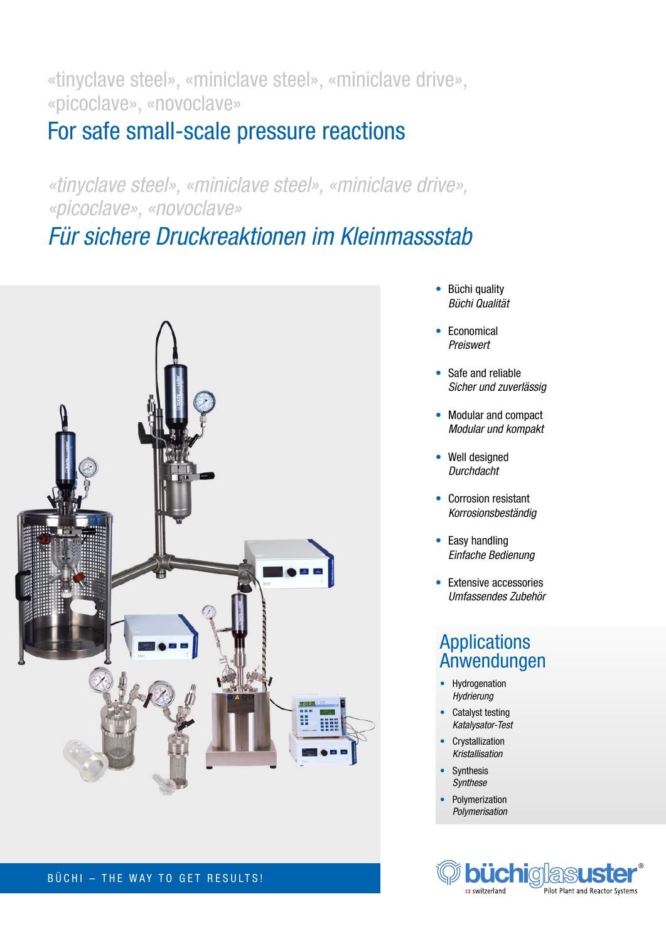«tinyclave steel», «miniclave steel», «miniclave drive», «picoclave», «novoclave»

# For safe small-scale pressure reactions

*«tinyclave steel», «miniclave steel», «miniclave drive», «picoclave», «novoclave»*

*Für sichere Druckreaktionen im Kleinmassstab*



BÜCHI – THE WAY TO GET RESULTS!

- Büchi quality *Büchi Qualität*
- Economical *Preiswert*
- Safe and reliable *Sicher und zuverlässig*
- Modular and compact *Modular und kompakt*
- Well designed *Durchdacht*
- Corrosion resistant *Korrosionsbeständig*
- Easy handling *Einfache Bedienung*
- Extensive accessories *Umfassendes Zubehör*

## **Applications** Anwendungen

- Hydrogenation *Hydrierung*
- Catalyst testing *Katalysator-Test*
- Crystallization *Kristallisation*
- **Synthesis** *Synthese*
- **Polymerization** *Polymerisation*

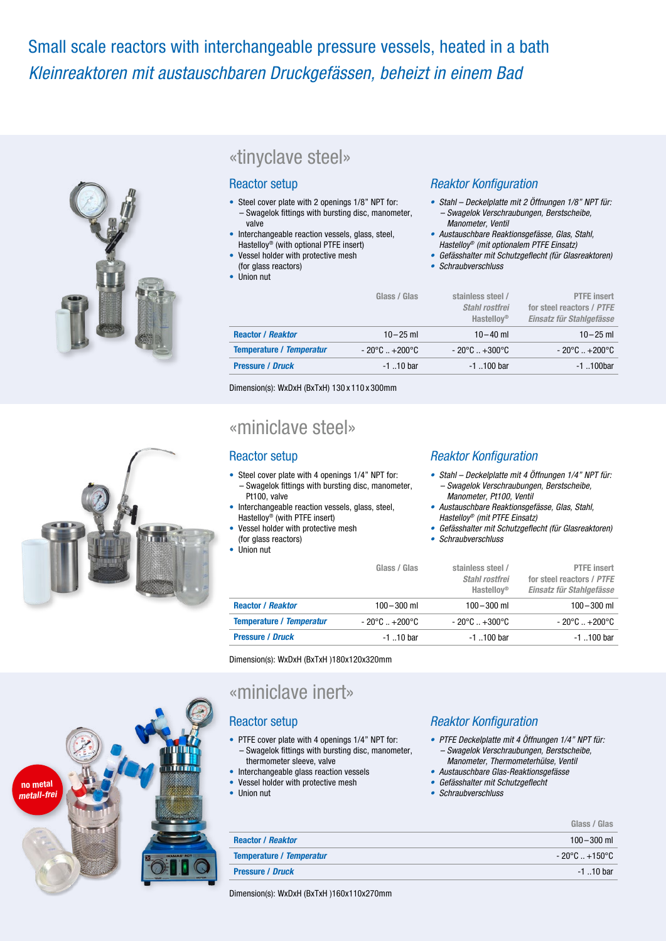# Small scale reactors with interchangeable pressure vessels, heated in a bath *Kleinreaktoren mit austauschbaren Druckgefässen, beheizt in einem Bad*



## «tinyclave steel»

### Reactor setup

- Steel cover plate with 2 openings 1/8" NPT for: – Swagelok fittings with bursting disc, manometer, valve
- Interchangeable reaction vessels, glass, steel, Hastelloy® (with optional PTFE insert)
- Vessel holder with protective mesh (for glass reactors)
- Union nut

### Reaktor Konfiguration

- *Stahl Deckelplatte mit 2 Öffnungen 1/8" NPT für: – Swagelok Verschraubungen, Berstscheibe, Manometer, Ventil*
- *Austauschbare Reaktionsgefässe, Glas, Stahl, Hastelloy® (mit optionalem PTFE Einsatz)*
- *•* Gefässhalter mit Schutzgeflecht (für Glasreaktoren)
- *• Schraubverschluss*

|                                 | Glass / Glas           | stainless steel /<br>Stahl rostfrei<br><b>Hastellov<sup>®</sup></b> | <b>PTFE</b> insert<br>for steel reactors / PTFE<br>Einsatz für Stahlgefässe |
|---------------------------------|------------------------|---------------------------------------------------------------------|-----------------------------------------------------------------------------|
| <b>Reactor / Reaktor</b>        | $10 - 25$ ml           | $10 - 40$ ml                                                        | $10 - 25$ ml                                                                |
| <b>Temperature / Temperatur</b> | $-20^{\circ}$ C +200°C | $-20^{\circ}$ C $+300^{\circ}$ C                                    | $-20^{\circ}$ C $+200^{\circ}$ C                                            |
| <b>Pressure / Druck</b>         | $-1$ 10 bar            | $-1$ 100 bar                                                        | $-1$ 100 $bar$                                                              |

Dimension(s): WxDxH (BxTxH) 130 x 110 x 300mm

## «miniclave steel»

### Reactor setup

- Steel cover plate with 4 openings 1/4" NPT for: – Swagelok fittings with bursting disc, manometer, Pt100, valve
- Interchangeable reaction vessels, glass, steel,
- Hastelloy® (with PTFE insert) Vessel holder with protective mesh (for glass reactors)
- Union nut

### Reaktor Konfiguration

- *Stahl Deckelplatte mit 4 Öffnungen 1/4" NPT für: – Swagelok Verschraubungen, Berstscheibe, Manometer, Pt100, Ventil*
- *Austauschbare Reaktionsgefässe, Glas, Stahl, Hastelloy® (mit PTFE Einsatz)*
- Gefässhalter mit Schutzgeflecht (für Glasreaktoren)
- *• Schraubverschluss*

|                                 | Glass / Glas                     | stainless steel /<br>Stahl rostfrei<br>Hastellov <sup>®</sup> | <b>PTFE</b> insert<br>for steel reactors / PTFE<br>Einsatz für Stahlgefässe |
|---------------------------------|----------------------------------|---------------------------------------------------------------|-----------------------------------------------------------------------------|
| <b>Reactor / Reaktor</b>        | $100 - 300$ ml                   | $100 - 300$ ml                                                | $100 - 300$ ml                                                              |
| <b>Temperature / Temperatur</b> | $-20^{\circ}$ C $+200^{\circ}$ C | $-20^{\circ}$ C $+300^{\circ}$ C                              | $-20^{\circ}$ C $+200^{\circ}$ C                                            |
| <b>Pressure / Druck</b>         | $-1$ 10 bar                      | $-1$ 100 bar                                                  | $-1$ 100 bar                                                                |

Dimension(s): WxDxH (BxTxH )180x120x320mm

## «miniclave inert»

## Reactor setup

- PTFE cover plate with 4 openings 1/4" NPT for: – Swagelok fittings with bursting disc, manometer,
- thermometer sleeve, valve
- Interchangeable glass reaction vessels
- Vessel holder with protective mesh
- Union nut

### Reaktor Konfiguration

- *PTFE Deckelplatte mit 4 Öffnungen 1/4" NPT für: – Swagelok Verschraubungen, Berstscheibe,*
- *Manometer, Thermometerhülse, Ventil • Austauschbare Glas-Reaktionsgefässe*
- *•* Gefässhalter mit Schutzgeflecht
- *• Schraubverschluss*

|                                 | Glass / Glas                     |
|---------------------------------|----------------------------------|
| <b>Reactor / Reaktor</b>        | $100 - 300$ ml                   |
| <b>Temperature / Temperatur</b> | $-20^{\circ}$ C $+150^{\circ}$ C |
| <b>Pressure / Druck</b>         | $-1$ 10 har                      |

Dimension(s): WxDxH (BxTxH )160x110x270mm



*metall-frei*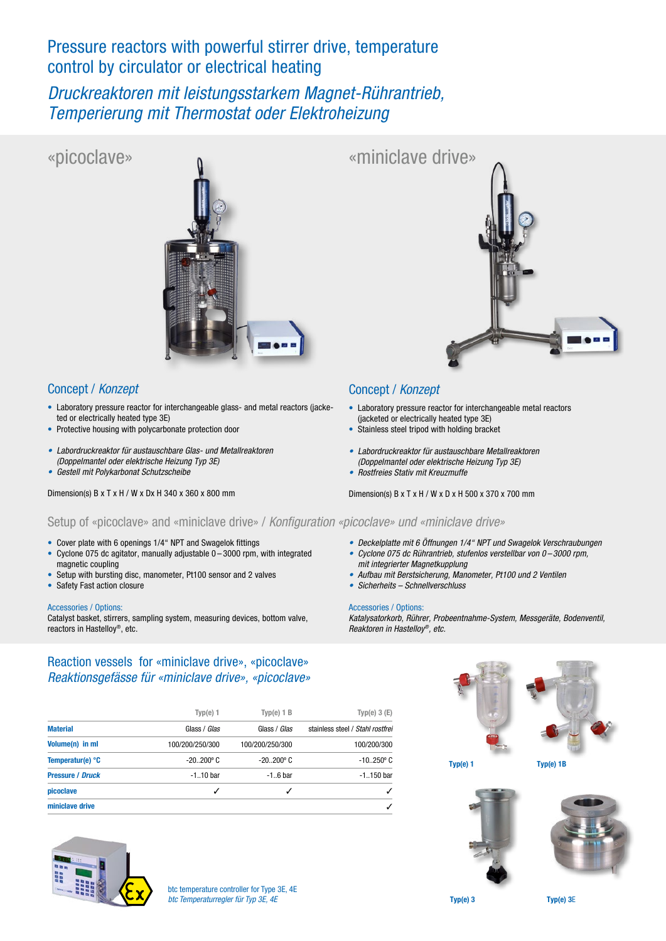## Pressure reactors with powerful stirrer drive, temperature control by circulator or electrical heating

*Druckreaktoren mit leistungsstarkem Magnet-Rührantrieb, Temperierung mit Thermostat oder Elektroheizung*

## «picoclave»



## Concept / *Konzept*

- Laboratory pressure reactor for interchangeable glass- and metal reactors (jacketed or electrically heated type 3E)
- Protective housing with polycarbonate protection door
- *• Labordruckreaktor für austauschbare Glas- und Metallreaktoren (Doppelmantel oder elektrische Heizung Typ 3E)*
- *• Gestell mit Polykarbonat Schutzscheibe*

Dimension(s) B x T x H / W x Dx H 340 x 360 x 800 mm



### Concept / *Konzept*

• Laboratory pressure reactor for interchangeable metal reactors (jacketed or electrically heated type 3E)

*• Deckelplatte mit 6 Öffnungen 1/4" NPT und Swagelok Verschraubungen • Cyclone 075 dc Rührantrieb, stufenlos verstellbar von 0 – 3000 rpm,*

*Katalysatorkorb, Rührer, Probeentnahme-System, Messgeräte, Bodenventil,* 

*• Aufbau mit Berstsicherung, Manometer, Pt100 und 2 Ventilen*

- Stainless steel tripod with holding bracket
- *• Labordruckreaktor für austauschbare Metallreaktoren (Doppelmantel oder elektrische Heizung Typ 3E)*
- *• Rostfreies Stativ mit Kreuzmuffe*

*mit integrierter Magnetkupplung*

*• Sicherheits – Schnellverschluss*

Accessories / Options:

Dimension(s) B x T x H / W x D x H 500 x 370 x 700 mm

### Setup of «picoclave» and «miniclave drive» / Konfiguration «picoclave» und «miniclave drive»

- Cover plate with 6 openings 1/4" NPT and Swagelok fittings
- Cyclone 075 dc agitator, manually adjustable 0 3000 rpm, with integrated magnetic coupling
- Setup with bursting disc, manometer, Pt100 sensor and 2 valves
- Safety Fast action closure

#### Accessories / Options:

Catalyst basket, stirrers, sampling system, measuring devices, bottom valve, reactors in Hastelloy®, etc.

## Reaction vessels for «miniclave drive», «picoclave» *Reaktionsgefässe für «miniclave drive», «picoclave»*

|                           | Type(e) 1           | $Type(e)$ 1 $B$     | Typ(e) $3(E)$                    |
|---------------------------|---------------------|---------------------|----------------------------------|
| <b>Material</b>           | Glass / <i>Glas</i> | Glass / <i>Glas</i> | stainless steel / Stahl rostfrei |
| Volume(n) in ml           | 100/200/250/300     | 100/200/250/300     | 100/200/300                      |
| Temperatur(e) $\degree$ C | $-20.200$ °C        | $-20.200$ °C        | $-10250^{\circ}$ C               |
| <b>Pressure / Druck</b>   | $-110$ bar          | $-1.6b$ ar          | $-1$ 150 bar                     |
| picoclave                 | ✓                   | ✓                   |                                  |
| miniclave drive           |                     |                     |                                  |







Typ(e) 1

Typ(e) 1B





Typ(e) 3 Typ(e) 3E